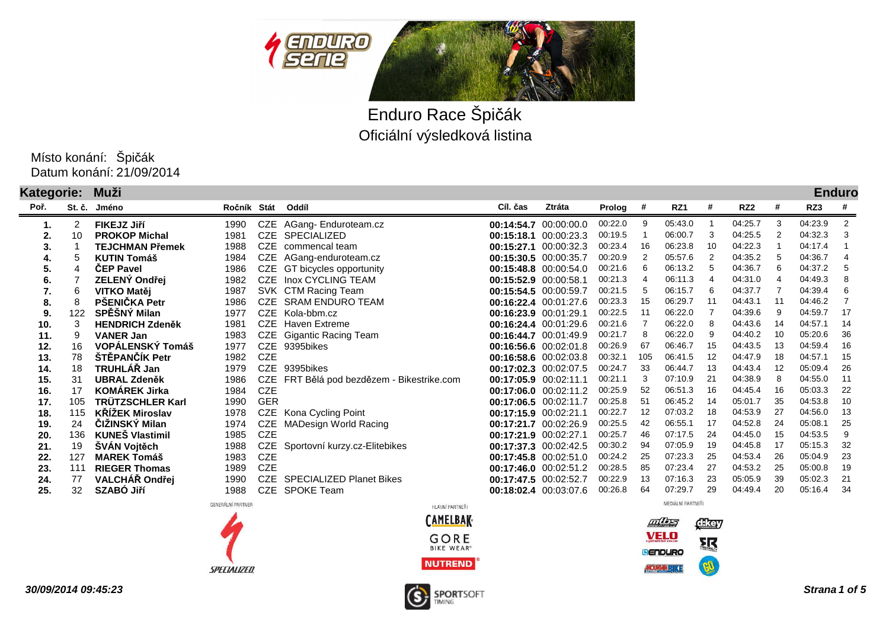



Oficiální výsledková listina Enduro Race Špičák

Datum konání: 21/09/2014 Místo konání: Špičák

| Kategorie:<br>Muži |        |                        |                   |            |                                        |                       |                       |         |     |                   |    |                 |     |         | <b>Enduro</b> |
|--------------------|--------|------------------------|-------------------|------------|----------------------------------------|-----------------------|-----------------------|---------|-----|-------------------|----|-----------------|-----|---------|---------------|
| Poř.               | St. č. | Jméno                  | Ročník Stát       |            | Oddíl                                  | Cíl. čas              | Ztráta                | Prolog  | #   | RZ1               | #  | RZ <sub>2</sub> | #   | RZ3     | #             |
| 1.                 | 2      | FIKEJZ Jiří            | 1990              | CZE        | AGang-Enduroteam.cz                    |                       | 00:14:54.7 00:00:00.0 | 00:22.0 | 9   | 05:43.0           |    | 04:25.7         | 3   | 04:23.9 | 2             |
| 2.                 | 10     | <b>PROKOP Michal</b>   | 1981              | CZE        | <b>SPECIALIZED</b>                     |                       | 00:15:18.1 00:00:23.3 | 00:19.5 |     | 06:00.7           | -3 | 04:25.5         |     | 04:32.3 |               |
| 3.                 |        | <b>TEJCHMAN Přemek</b> | 1988              | <b>CZE</b> | commencal team                         | 00:15:27.1            | 00:00:32.3            | 00:23.4 | 16  | 06:23.8           | 10 | 04:22.3         |     | 04:17.4 |               |
| 4.                 | 5      | <b>KUTIN Tomáš</b>     | 1984              | CZE        | AGang-enduroteam.cz                    |                       | 00:15:30.5 00:00:35.7 | 00:20.9 |     | 05:57.6           | 2  | 04:35.2         | -5  | 04:36.7 | 4             |
| 5.                 | 4      | <b>CEP Pavel</b>       | 1986              | CZE        | GT bicycles opportunity                |                       | 00:15:48.8 00:00:54.0 | 00:21.6 | 6   | 06:13.2           | -5 | 04:36.7         | 6   | 04:37.2 | -5            |
| 6.                 |        | ZELENÝ Ondřej          | 1982              | <b>CZE</b> | Inox CYCLING TEAM                      | 00:15:52.9 00:00:58.1 |                       | 00:21.3 |     | 06:11.3           | 4  | 04:31.0         |     | 04:49.3 | 8             |
| 7.                 | 6      | VITKO Matěj            | 1987              |            | SVK CTM Racing Team                    |                       | 00:15:54.5 00:00:59.7 | 00:21.5 | -5  | 06:15.7           | -6 | 04:37.7         |     | 04:39.4 | 6             |
| 8.                 | 8      | PŠENIČKA Petr          | 1986              | <b>CZE</b> | <b>SRAM ENDURO TEAM</b>                |                       | 00:16:22.4 00:01:27.6 | 00:23.3 | 15  | 06:29.7           | 11 | 04:43.1         |     | 04:46.2 |               |
| 9.                 | 122    | SPĚŠNÝ Milan           | 1977              | CZE        | Kola-bbm.cz                            |                       | 00:16:23.9 00:01:29.1 | 00:22.5 | 11  | 06:22.0           |    | 04:39.6         | 9   | 04:59.7 | 17            |
| 10.                | 3      | <b>HENDRICH Zdeněk</b> | 1981              | CZE        | <b>Haven Extreme</b>                   |                       | 00:16:24.4 00:01:29.6 | 00:21.6 |     | 06:22.0           |    | 04:43.6         | 14  | 04:57.1 | 14            |
| 11.                | 9      | <b>VANER Jan</b>       | 1983              | CZE        | <b>Gigantic Racing Team</b>            |                       | 00:16:44.7 00:01:49.9 | 00:21.7 | 8   | 06:22.0           | 9  | 04:40.2         | 10  | 05:20.6 | 36            |
| 12.                | 16     | VOPÁLENSKÝ Tomáš       | 1977              | <b>CZE</b> | 9395bikes                              |                       | 00:16:56.6 00:02:01.8 | 00:26.9 | 67  | 06:46.7           | 15 | 04:43.5         | 13  | 04:59.4 | 16            |
| 13.                | 78     | ŠTĚPANČÍK Petr         | 1982              | <b>CZE</b> |                                        |                       | 00:16:58.6 00:02:03.8 | 00:32.1 | 105 | 06:41.5           | 12 | 04:47.9         | 18  | 04:57.1 | 15            |
| 14.                | 18     | TRUHLÁŘ Jan            | 1979              | <b>CZE</b> | 9395bikes                              |                       | 00:17:02.3 00:02:07.5 | 00:24.7 | 33  | 06:44.7           | 13 | 04:43.4         | 12  | 05:09.4 | 26            |
| 15.                | 31     | <b>UBRAL Zdeněk</b>    | 1986              | CZE        | FRT Bělá pod bezdězem - Bikestrike.com | 00:17:05.9 00:02:11.1 |                       | 00:21.1 |     | 07:10.9           | 21 | 04:38.9         | 8   | 04:55.0 | 11            |
| 16.                | 17     | <b>KOMÁREK Jirka</b>   | 1984              | <b>CZE</b> |                                        |                       | 00:17:06.0 00:02:11.2 | 00:25.9 | 52  | 06:51.3           | 16 | 04:45.4         | 16  | 05:03.3 | 22            |
| 17.                | 105    | TRÜTZSCHLER Karl       | 1990              | <b>GER</b> |                                        |                       | 00:17:06.5 00:02:11.7 | 00:25.8 | 51  | 06:45.2           | 14 | 05:01.7         | 35  | 04:53.8 | 10            |
| 18.                | 115    | <b>KŘÍŽEK Miroslav</b> | 1978              | CZE        | Kona Cycling Point                     |                       | 00:17:15.9 00:02:21.1 | 00:22.7 | 12  | 07:03.2           | 18 | 04:53.9         | 27  | 04:56.0 | 13            |
| 19.                | 24     | ČIŽINSKÝ Milan         | 1974              | <b>CZE</b> | <b>MADesign World Racing</b>           |                       | 00:17:21.7 00:02:26.9 | 00:25.5 | 42  | 06:55.1           | 17 | 04:52.8         | 24  | 05:08.1 | 25            |
| 20.                | 136    | <b>KUNES Vlastimil</b> | 1985              | <b>CZE</b> |                                        | 00:17:21.9 00:02:27.1 |                       | 00:25.7 | 46  | 07:17.5           | 24 | 04:45.0         | 15  | 04:53.5 | 9             |
| 21.                | 19     | ŠVÁN Vojtěch           | 1988              | <b>CZE</b> | Sportovní kurzy.cz-Elitebikes          |                       | 00:17:37.3 00:02:42.5 | 00:30.2 | 94  | 07:05.9           | 19 | 04:45.8         | -17 | 05:15.3 | 32            |
| 22.                | 127    | <b>MAREK Tomáš</b>     | 1983              | <b>CZE</b> |                                        |                       | 00:17:45.8 00:02:51.0 | 00:24.2 | 25  | 07:23.3           | 25 | 04:53.4         | 26  | 05:04.9 | 23            |
| 23.                | 111    | <b>RIEGER Thomas</b>   | 1989              | <b>CZE</b> |                                        |                       | 00:17:46.0 00:02:51.2 | 00:28.5 | 85  | 07:23.4           | 27 | 04:53.2         | 25  | 05:00.8 | 19            |
| 24.                | 77     | VALCHÁŘ Ondřej         | 1990              | <b>CZE</b> | <b>SPECIALIZED Planet Bikes</b>        |                       | 00:17:47.5 00:02:52.7 | 00:22.9 | 13  | 07:16.3           | 23 | 05:05.9         | 39  | 05:02.3 | 21            |
| 25.                | 32     | <b>SZABO Jiří</b>      | 1988              | <b>CZE</b> | <b>SPOKE Team</b>                      |                       | 00:18:02.4 00:03:07.6 | 00:26.8 | 64  | 07:29.7           | 29 | 04:49.4         | 20  | 05:16.4 | 34            |
|                    |        |                        | GENERÁLNÍ PARTNER |            | LILAVAIÍ DADTNEĎI                      |                       |                       |         |     | MEDIÁLNÍ PARTNEŘI |    |                 |     |         |               |





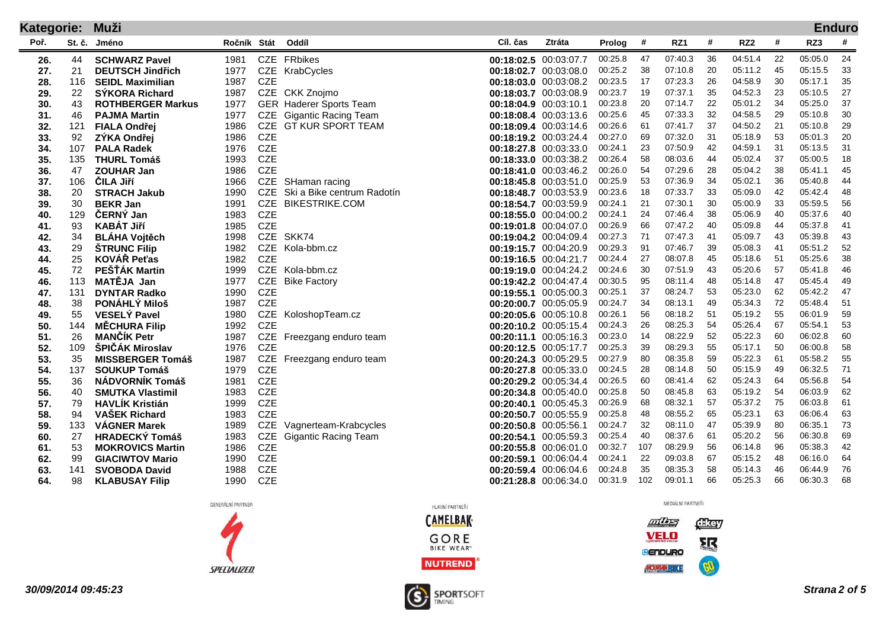| <b>Kategorie:</b> |        | Muži                     |             |            |                                |                       |                       |         |     |         |    |                 |    |         | <b>Enduro</b> |
|-------------------|--------|--------------------------|-------------|------------|--------------------------------|-----------------------|-----------------------|---------|-----|---------|----|-----------------|----|---------|---------------|
| Poř.              | St. č. | Jméno                    | Ročník Stát |            | Oddíl                          | Cíl. čas              | Ztráta                | Prolog  | #   | RZ1     | #  | RZ <sub>2</sub> | #  | RZ3     | #             |
| 26.               | 44     | <b>SCHWARZ Pavel</b>     | 1981        | CZE        | <b>FRbikes</b>                 |                       | 00:18:02.5 00:03:07.7 | 00:25.8 | 47  | 07:40.3 | 36 | 04:51.4         | 22 | 05:05.0 | 24            |
| 27.               | 21     | <b>DEUTSCH Jindřich</b>  | 1977        | CZE        | KrabCycles                     |                       | 00:18:02.7 00:03:08.0 | 00:25.2 | 38  | 07:10.8 | 20 | 05:11.2         | 45 | 05:15.5 | 33            |
| 28.               | 116    | <b>SEIDL Maximilian</b>  | 1987        | <b>CZE</b> |                                |                       | 00:18:03.0 00:03:08.2 | 00:23.5 | 17  | 07:23.3 | 26 | 04:58.9         | 30 | 05:17.1 | 35            |
| 29.               | 22     | <b>SYKORA Richard</b>    | 1987        |            | CZE CKK Znojmo                 |                       | 00:18:03.7 00:03:08.9 | 00:23.7 | 19  | 07:37.1 | 35 | 04:52.3         | 23 | 05:10.5 | 27            |
| 30.               | 43     | <b>ROTHBERGER Markus</b> | 1977        |            | <b>GER</b> Haderer Sports Team |                       | 00:18:04.9 00:03:10.1 | 00:23.8 | 20  | 07:14.7 | 22 | 05:01.2         | 34 | 05:25.0 | 37            |
| 31.               | 46     | <b>PAJMA Martin</b>      | 1977        | CZE        | <b>Gigantic Racing Team</b>    |                       | 00:18:08.4 00:03:13.6 | 00:25.6 | 45  | 07:33.3 | 32 | 04:58.5         | 29 | 05:10.8 | 30            |
| 32.               | 121    | <b>FIALA Ondřej</b>      | 1986        | <b>CZE</b> | <b>GT KUR SPORT TEAM</b>       |                       | 00:18:09.4 00:03:14.6 | 00:26.6 | 61  | 07:41.7 | 37 | 04:50.2         | 21 | 05:10.8 | 29            |
| 33.               | 92     | ZÝKA Ondřej              | 1986        | <b>CZE</b> |                                |                       | 00:18:19.2 00:03:24.4 | 00:27.0 | 69  | 07:32.0 | 31 | 05:18.9         | 53 | 05:01.3 | 20            |
| 34.               | 107    | <b>PALA Radek</b>        | 1976        | <b>CZE</b> |                                |                       | 00:18:27.8 00:03:33.0 | 00:24.1 | 23  | 07:50.9 | 42 | 04:59.1         | 31 | 05:13.5 | 31            |
| 35.               | 135    | <b>THURL Tomáš</b>       | 1993        | <b>CZE</b> |                                |                       | 00:18:33.0 00:03:38.2 | 00:26.4 | 58  | 08:03.6 | 44 | 05:02.4         | 37 | 05:00.5 | 18            |
| 36.               | 47     | <b>ZOUHAR Jan</b>        | 1986        | <b>CZE</b> |                                |                       | 00:18:41.0 00:03:46.2 | 00:26.0 | 54  | 07:29.6 | 28 | 05:04.2         | 38 | 05:41.1 | 45            |
| 37.               | 106    | <b>CILA Jiří</b>         | 1966        | <b>CZE</b> | SHaman racing                  |                       | 00:18:45.8 00:03:51.0 | 00:25.9 | 53  | 07:36.9 | 34 | 05:02.1         | 36 | 05:40.8 | 44            |
| 38.               | 20     | <b>STRACH Jakub</b>      | 1990        | <b>CZE</b> | Ski a Bike centrum Radotín     |                       | 00:18:48.7 00:03:53.9 | 00:23.6 | 18  | 07:33.7 | 33 | 05:09.0         | 42 | 05:42.4 | 48            |
| 39.               | 30     | <b>BEKR Jan</b>          | 1991        | <b>CZE</b> | <b>BIKESTRIKE.COM</b>          |                       | 00:18:54.7 00:03:59.9 | 00:24.1 | 21  | 07:30.1 | 30 | 05:00.9         | 33 | 05:59.5 | 56            |
| 40.               | 129    | ČERNÝ Jan                | 1983        | <b>CZE</b> |                                |                       | 00:18:55.0 00:04:00.2 | 00:24.1 | 24  | 07:46.4 | 38 | 05:06.9         | 40 | 05:37.6 | 40            |
| 41.               | 93     | <b>KABÁT Jiří</b>        | 1985        | <b>CZE</b> |                                |                       | 00:19:01.8 00:04:07.0 | 00:26.9 | 66  | 07:47.2 | 40 | 05:09.8         | 44 | 05:37.8 | 41            |
| 42.               | 34     | <b>BLÁHA Vojtěch</b>     | 1998        | <b>CZE</b> | SKK74                          |                       | 00:19:04.2 00:04:09.4 | 00:27.3 | 71  | 07:47.3 | 41 | 05:09.7         | 43 | 05:39.8 | 43            |
| 43.               | 29     | <b>ŠTRUNC Filip</b>      | 1982        | <b>CZE</b> | Kola-bbm.cz                    |                       | 00:19:15.7 00:04:20.9 | 00:29.3 | 91  | 07:46.7 | 39 | 05:08.3         | 41 | 05:51.2 | 52            |
| 44.               | 25     | KOVÁŘ Peťas              | 1982        | <b>CZE</b> |                                |                       | 00:19:16.5 00:04:21.7 | 00:24.4 | 27  | 08:07.8 | 45 | 05:18.6         | 51 | 05:25.6 | 38            |
| 45.               | 72     | PEŠŤÁK Martin            | 1999        |            | CZE Kola-bbm.cz                |                       | 00:19:19.0 00:04:24.2 | 00:24.6 | 30  | 07:51.9 | 43 | 05:20.6         | 57 | 05:41.8 | 46            |
| 46.               | 113    | MATĚJA Jan               | 1977        | <b>CZE</b> | <b>Bike Factory</b>            |                       | 00:19:42.2 00:04:47.4 | 00:30.5 | 95  | 08:11.4 | 48 | 05:14.8         | 47 | 05:45.4 | 49            |
| 47.               | 131    | <b>DYNTAR Radko</b>      | 1990        | <b>CZE</b> |                                |                       | 00:19:55.1 00:05:00.3 | 00:25.1 | 37  | 08:24.7 | 53 | 05:23.0         | 62 | 05:42.2 | 47            |
| 48.               | 38     | PONÁHLÝ Miloš            | 1987        | <b>CZE</b> |                                |                       | 00:20:00.7 00:05:05.9 | 00:24.7 | 34  | 08:13.1 | 49 | 05:34.3         | 72 | 05:48.4 | 51            |
| 49.               | 55     | <b>VESELÝ Pavel</b>      | 1980        | <b>CZE</b> | KoloshopTeam.cz                |                       | 00:20:05.6 00:05:10.8 | 00:26.1 | 56  | 08:18.2 | 51 | 05:19.2         | 55 | 06:01.9 | 59            |
| 50.               | 144    | <b>MÉCHURA Filip</b>     | 1992        | <b>CZE</b> |                                |                       | 00:20:10.2 00:05:15.4 | 00:24.3 | 26  | 08:25.3 | 54 | 05:26.4         | 67 | 05:54.1 | 53            |
| 51.               | 26     | <b>MANČÍK Petr</b>       | 1987        | <b>CZE</b> | Freezgang enduro team          |                       | 00:20:11.1 00:05:16.3 | 00:23.0 | 14  | 08:22.9 | 52 | 05:22.3         | 60 | 06:02.8 | 60            |
| 52.               | 109    | ŠPIČÁK Miroslav          | 1976        | <b>CZE</b> |                                | 00:20:12.5 00:05:17.7 |                       | 00:25.3 | 39  | 08:29.3 | 55 | 05:17.1         | 50 | 06:00.8 | 58            |
| 53.               | 35     | <b>MISSBERGER Tomáš</b>  | 1987        | <b>CZE</b> | Freezgang enduro team          |                       | 00:20:24.3 00:05:29.5 | 00:27.9 | 80  | 08:35.8 | 59 | 05:22.3         | 61 | 05:58.2 | 55            |
| 54.               | 137    | <b>SOUKUP Tomáš</b>      | 1979        | <b>CZE</b> |                                |                       | 00:20:27.8 00:05:33.0 | 00:24.5 | 28  | 08:14.8 | 50 | 05:15.9         | 49 | 06:32.5 | 71            |
| 55.               | 36     | <b>NÁDVORNÍK Tomáš</b>   | 1981        | <b>CZE</b> |                                |                       | 00:20:29.2 00:05:34.4 | 00:26.5 | 60  | 08:41.4 | 62 | 05:24.3         | 64 | 05:56.8 | 54            |
| 56.               | 40     | <b>SMUTKA Vlastimil</b>  | 1983        | <b>CZE</b> |                                |                       | 00:20:34.8 00:05:40.0 | 00:25.8 | 50  | 08:45.8 | 63 | 05:19.2         | 54 | 06:03.9 | 62            |
| 57.               | 79     | <b>HAVLÍK Kristián</b>   | 1999        | <b>CZE</b> |                                |                       | 00:20:40.1 00:05:45.3 | 00:26.9 | 68  | 08:32.1 | 57 | 05:37.2         | 75 | 06:03.8 | 61            |
| 58.               | 94     | <b>VAŠEK Richard</b>     | 1983        | <b>CZE</b> |                                |                       | 00:20:50.7 00:05:55.9 | 00:25.8 | 48  | 08:55.2 | 65 | 05:23.1         | 63 | 06:06.4 | 63            |
| 59.               | 133    | <b>VÁGNER Marek</b>      | 1989        | <b>CZE</b> | Vagnerteam-Krabcycles          |                       | 00:20:50.8 00:05:56.1 | 00:24.7 | 32  | 08:11.0 | 47 | 05:39.9         | 80 | 06:35.1 | 73            |
| 60.               | 27     | <b>HRADECKÝ Tomáš</b>    | 1983        | <b>CZE</b> | <b>Gigantic Racing Team</b>    |                       | 00:20:54.1 00:05:59.3 | 00:25.4 | 40  | 08:37.6 | 61 | 05:20.2         | 56 | 06:30.8 | 69            |
| 61.               | 53     | <b>MOKROVICS Martin</b>  | 1986        | <b>CZE</b> |                                |                       | 00:20:55.8 00:06:01.0 | 00:32.7 | 107 | 08:29.9 | 56 | 06:14.8         | 96 | 05:38.3 | 42            |
| 62.               | 99     | <b>GIACIWTOV Mario</b>   | 1990        | <b>CZE</b> |                                |                       | 00:20:59.1 00:06:04.4 | 00:24.1 | 22  | 09:03.8 | 67 | 05:15.2         | 48 | 06:16.0 | 64            |
| 63.               | 141    | <b>SVOBODA David</b>     | 1988        | <b>CZE</b> |                                |                       | 00:20:59.4 00:06:04.6 | 00:24.8 | 35  | 08:35.3 | 58 | 05:14.3         | 46 | 06:44.9 | 76            |
| 64.               | 98     | <b>KLABUSAY Filip</b>    | 1990        | <b>CZE</b> |                                |                       | 00:21:28.8 00:06:34.0 | 00:31.9 | 102 | 09:01.1 | 66 | 05:25.3         | 66 | 06:30.3 | 68            |

GENERÁLNÍ PARTNER





**30/09/2014 09:45:23**



 $\pi$ dikey VELO 驱

CO

**BENDURO** 

MOUNTAINBINE

MEDIÁLNÍ PARTNEŘI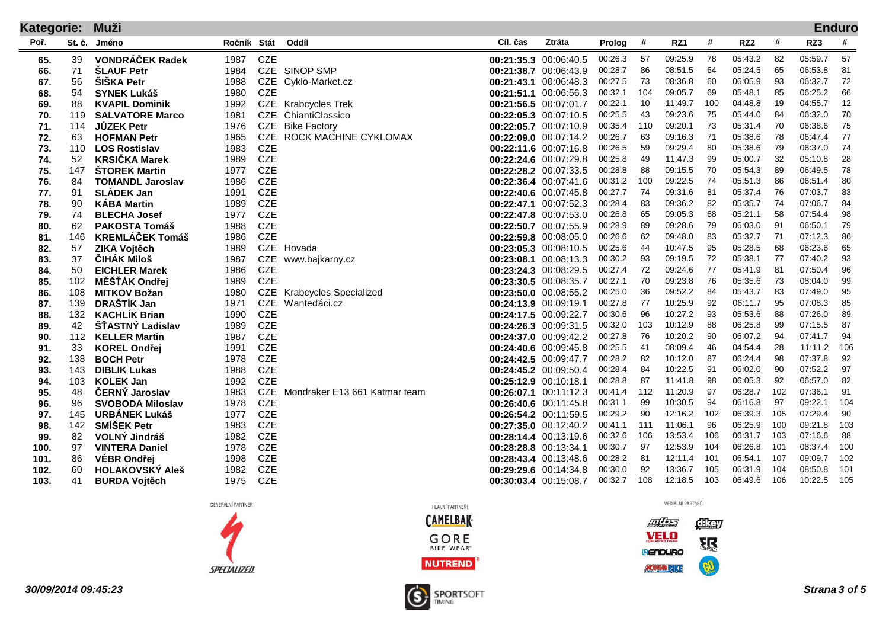| <b>Kategorie:</b> |          | Muži                               | <b>Enduro</b> |                          |                               |          |                                                |                    |          |                    |          |                    |          |                    |          |  |
|-------------------|----------|------------------------------------|---------------|--------------------------|-------------------------------|----------|------------------------------------------------|--------------------|----------|--------------------|----------|--------------------|----------|--------------------|----------|--|
| Poř.              | St. č.   | Jméno                              | Ročník Stát   |                          | Oddíl                         | Cíl. čas | Ztráta                                         | Prolog             | #        | RZ1                | #        | RZ <sub>2</sub>    | #        | RZ3                | #        |  |
| 65.               | 39       | <b>VONDRÁČEK Radek</b>             | 1987          | <b>CZE</b>               |                               |          | 00:21:35.3 00:06:40.5                          | 00:26.3            | 57       | 09:25.9            | 78       | 05:43.2            | 82       | 05:59.7            | 57       |  |
| 66.               | 71       | <b>ŠLAUF Petr</b>                  | 1984          |                          | CZE SINOP SMP                 |          | 00:21:38.7 00:06:43.9                          | 00:28.7            | 86       | 08:51.5            | 64       | 05:24.5            | 65       | 06:53.8            | 81       |  |
| 67.               | 56       | <b>SISKA Petr</b>                  | 1988          |                          | CZE Cyklo-Market.cz           |          | 00:21:43.1 00:06:48.3                          | 00:27.5            | 73       | 08:36.8            | 60       | 06:05.9            | 93       | 06:32.7            | 72       |  |
| 68.               | 54       | <b>SYNEK Lukáš</b>                 | 1980          | <b>CZE</b>               |                               |          | 00:21:51.1 00:06:56.3                          | 00:32.1            | 104      | 09:05.7            | 69       | 05:48.1            | 85       | 06:25.2            | 66       |  |
| 69.               | 88       | <b>KVAPIL Dominik</b>              | 1992          |                          | CZE Krabcycles Trek           |          | 00:21:56.5 00:07:01.7                          | 00:22.1            | 10       | 11:49.7            | 100      | 04:48.8            | 19       | 04:55.7            | 12       |  |
| 70.               | 119      | <b>SALVATORE Marco</b>             | 1981          |                          | CZE ChiantiClassico           |          | 00:22:05.3 00:07:10.5                          | 00:25.5            | 43       | 09:23.6            | 75       | 05:44.0            | 84       | 06:32.0            | 70       |  |
| 71.               | 114      | <b>JŮZEK Petr</b>                  | 1976          | CZE                      | <b>Bike Factory</b>           |          | 00:22:05.7 00:07:10.9                          | 00:35.4            | 110      | 09:20.1            | 73       | 05:31.4            | 70       | 06:38.6            | 75       |  |
| 72.               | 63       | <b>HOFMAN Petr</b>                 | 1965          | <b>CZE</b>               | ROCK MACHINE CYKLOMAX         |          | 00:22:09.0 00:07:14.2                          | 00:26.7            | 63       | 09:16.3            | -71      | 05:38.6            | 78       | 06:47.4            | 77       |  |
| 73.               | 110      | <b>LOS Rostislav</b>               | 1983          | <b>CZE</b>               |                               |          | 00:22:11.6 00:07:16.8                          | 00:26.5            | 59       | 09:29.4            | 80       | 05:38.6            | 79       | 06:37.0            | 74       |  |
| 74.               | 52       | <b>KRSIČKA Marek</b>               | 1989          | <b>CZE</b>               |                               |          | 00:22:24.6 00:07:29.8                          | 00:25.8            | 49       | 11:47.3            | 99       | 05:00.7            | 32       | 05:10.8            | 28       |  |
| 75.               | 147      | <b>STOREK Martin</b>               | 1977          | <b>CZE</b>               |                               |          | 00:22:28.2 00:07:33.5                          | 00:28.8            | 88       | 09:15.5            | -70      | 05:54.3            | 89       | 06:49.5            | 78       |  |
| 76.               | 84       | <b>TOMANDL Jaroslav</b>            | 1986          | <b>CZE</b>               |                               |          | 00:22:36.4 00:07:41.6                          | 00:31.2            | 100      | 09:22.5            | 74       | 05:51.3            | 86       | 06:51.4            | 80       |  |
| 77.               | 91       | <b>SLADEK Jan</b>                  | 1991          | <b>CZE</b>               |                               |          | 00:22:40.6 00:07:45.8                          | 00:27.7            | 74       | 09:31.6            | 81       | 05:37.4            | 76       | 07:03.7            | 83       |  |
| 78.               | 90       | <b>KÁBA Martin</b>                 | 1989          | <b>CZE</b>               |                               |          | 00:22:47.1 00:07:52.3                          | 00:28.4            | 83       | 09:36.2            | 82       | 05:35.7            | 74       | 07:06.7            | 84       |  |
| 79.               | 74       | <b>BLECHA Josef</b>                | 1977          | <b>CZE</b>               |                               |          | 00:22:47.8 00:07:53.0                          | 00:26.8            | 65       | 09:05.3            | 68       | 05:21.1            | 58       | 07:54.4            | 98       |  |
| 80.               | 62       | <b>PAKOSTA Tomáš</b>               | 1988          | <b>CZE</b>               |                               |          | 00:22:50.7 00:07:55.9                          | 00:28.9<br>00:26.6 | 89<br>62 | 09:28.6<br>09:48.0 | 79<br>83 | 06:03.0<br>05:32.7 | 91<br>71 | 06:50.1<br>07:12.3 | 79<br>86 |  |
| 81.               | 146      | <b>KREMLÁČEK Tomáš</b>             | 1986<br>1989  | <b>CZE</b><br><b>CZE</b> |                               |          | 00:22:59.8 00:08:05.0                          | 00:25.6            | 44       | 10:47.5            | 95       | 05:28.5            | 68       | 06:23.6            | 65       |  |
| 82.<br>83.        | 57<br>37 | ZIKA Vojtěch<br><b>ČIHÁK Miloš</b> | 1987          | <b>CZE</b>               | Hovada                        |          | 00:23:05.3 00:08:10.5<br>00:23:08.1 00:08:13.3 | 00:30.2            | 93       | 09:19.5            | 72       | 05:38.1            | -77      | 07:40.2            | 93       |  |
| 84.               | 50       | <b>EICHLER Marek</b>               | 1986          | <b>CZE</b>               | www.bajkarny.cz               |          | 00:23:24.3 00:08:29.5                          | 00:27.4            | 72       | 09:24.6            | -77      | 05:41.9            | 81       | 07:50.4            | 96       |  |
| 85.               | 102      | MĚŠŤÁK Ondřej                      | 1989          | <b>CZE</b>               |                               |          | 00:23:30.5 00:08:35.7                          | 00:27.1            | 70       | 09:23.8            | 76       | 05:35.6            | 73       | 08:04.0            | 99       |  |
| 86.               | 108      | <b>MITKOV Božan</b>                | 1980          | <b>CZE</b>               | <b>Krabcycles Specialized</b> |          | 00:23:50.0 00:08:55.2                          | 00:25.0            | 36       | 09:52.2            | 84       | 05:43.7            | 83       | 07:49.0            | 95       |  |
| 87.               | 139      | DRAŠTÍK Jan                        | 1971          | <b>CZE</b>               | Wanted'áci.cz                 |          | 00:24:13.9 00:09:19.1                          | 00:27.8            | 77       | 10:25.9            | 92       | 06:11.7            | 95       | 07:08.3            | 85       |  |
| 88.               | 132      | <b>KACHLÍK Brian</b>               | 1990          | <b>CZE</b>               |                               |          | 00:24:17.5 00:09:22.7                          | 00:30.6            | 96       | 10:27.2            | 93       | 05:53.6            | 88       | 07:26.0            | 89       |  |
| 89.               | 42       | ŠŤASTNÝ Ladislav                   | 1989          | <b>CZE</b>               |                               |          | 00:24:26.3 00:09:31.5                          | 00:32.0            | 103      | 10:12.9            | 88       | 06:25.8            | 99       | 07:15.5            | 87       |  |
| 90.               | 112      | <b>KELLER Martin</b>               | 1987          | <b>CZE</b>               |                               |          | 00:24:37.0 00:09:42.2                          | 00:27.8            | 76       | 10:20.2            | 90       | 06:07.2            | 94       | 07:41.7            | 94       |  |
| 91.               | 33       | <b>KOREL Ondřei</b>                | 1991          | <b>CZE</b>               |                               |          | 00:24:40.6 00:09:45.8                          | 00:25.5            | 41       | 08:09.4            | 46       | 04:54.4            | 28       | 11:11.2            | 106      |  |
| 92.               | 138      | <b>BOCH Petr</b>                   | 1978          | <b>CZE</b>               |                               |          | 00:24:42.5 00:09:47.7                          | 00:28.2            | 82       | 10:12.0            | 87       | 06:24.4            | 98       | 07:37.8            | 92       |  |
| 93.               | 143      | <b>DIBLIK Lukas</b>                | 1988          | <b>CZE</b>               |                               |          | 00:24:45.2 00:09:50.4                          | 00:28.4            | 84       | 10:22.5            | 91       | 06:02.0            | 90       | 07:52.2            | 97       |  |
| 94.               | 103      | <b>KOLEK Jan</b>                   | 1992          | <b>CZE</b>               |                               |          | 00:25:12.9 00:10:18.1                          | 00:28.8            | 87       | 11:41.8            | 98       | 06:05.3            | 92       | 06:57.0            | 82       |  |
| 95.               | 48       | ČERNÝ Jaroslav                     | 1983          | <b>CZE</b>               | Mondraker E13 661 Katmar team |          | 00:26:07.1 00:11:12.3                          | 00:41.4            | 112      | 11:20.9            | 97       | 06:28.7            | 102      | 07:36.1            | 91       |  |
| 96.               | 96       | <b>SVOBODA Miloslav</b>            | 1978          | <b>CZE</b>               |                               |          | 00:26:40.6 00:11:45.8                          | 00:31.1            | 99       | 10:30.5            | 94       | 06:16.8            | 97       | 09:22.1            | 104      |  |
| 97.               | 145      | <b>URBÁNEK Lukáš</b>               | 1977          | <b>CZE</b>               |                               |          | 00:26:54.2 00:11:59.5                          | 00:29.2            | 90       | 12:16.2            | 102      | 06:39.3            | 105      | 07:29.4            | 90       |  |
| 98.               | 142      | <b>SMÍŠEK Petr</b>                 | 1983          | <b>CZE</b>               |                               |          | 00:27:35.0 00:12:40.2                          | 00:41.1            | 111      | 11:06.1            | 96       | 06:25.9            | 100      | 09:21.8            | 103      |  |
| 99.               | 82       | <b>VOLNÝ Jindráš</b>               | 1982          | <b>CZE</b>               |                               |          | 00:28:14.4 00:13:19.6                          | 00:32.6            | 106      | 13:53.4            | 106      | 06:31.7            | 103      | 07:16.6            | 88       |  |
| 100.              | 97       | <b>VINTERA Daniel</b>              | 1978          | <b>CZE</b>               |                               |          | 00:28:28.8 00:13:34.1                          | 00:30.7            | 97       | 12:53.9            | 104      | 06:26.8            | 101      | 08:37.4            | 100      |  |
| 101.              | 86       | VÉBR Ondřej                        | 1998          | <b>CZE</b>               |                               |          | 00:28:43.4 00:13:48.6                          | 00:28.2            | 81       | 12:11.4            | 101      | 06:54.1            | 107      | 09:09.7            | 102      |  |
| 102.              | 60       | <b>HOLAKOVSKÝ Aleš</b>             | 1982          | <b>CZE</b>               |                               |          | 00:29:29.6 00:14:34.8                          | 00:30.0            | 92       | 13:36.7            | 105      | 06:31.9            | 104      | 08:50.8            | 101      |  |
| 103.              | 41       | <b>BURDA Vojtěch</b>               | 1975          | <b>CZE</b>               |                               |          | 00:30:03.4 00:15:08.7                          | 00:32.7            | 108      | 12:18.5            | 103      | 06:49.6            | 106      | 10:22.5            | 105      |  |
|                   |          |                                    |               |                          |                               |          |                                                |                    |          |                    |          |                    |          |                    |          |  |

GENERÁLNÍ PARTNER





MEDIÁLNÍ PARTNEŘI

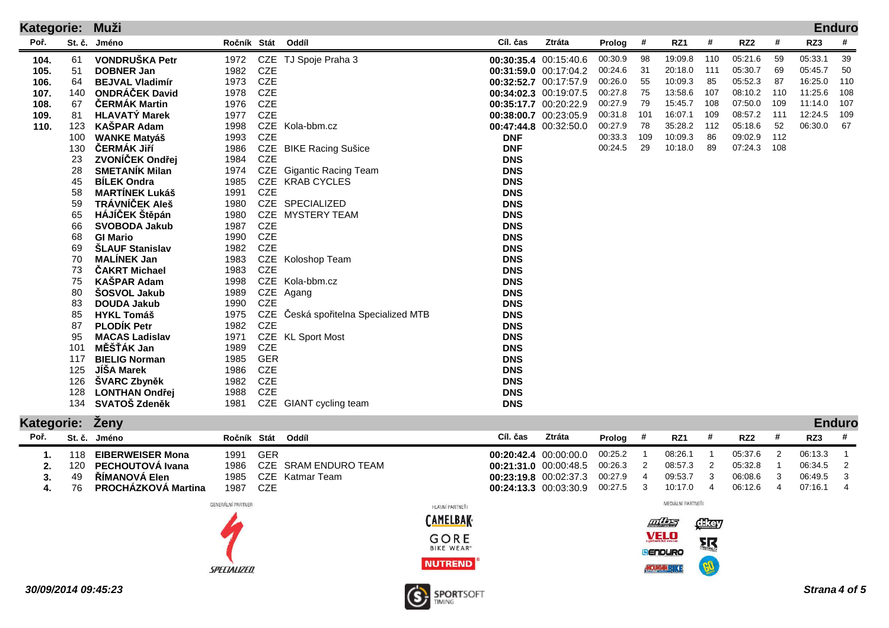| <b>Kategorie:</b> |          | Muži                                      |                   |            |                                  |                          |                       |         |     |            |     |                 |     |            | <b>Enduro</b> |
|-------------------|----------|-------------------------------------------|-------------------|------------|----------------------------------|--------------------------|-----------------------|---------|-----|------------|-----|-----------------|-----|------------|---------------|
| Poř.              | St. č.   | Jméno                                     | Ročník Stát       |            | Oddíl                            | Cíl. čas                 | Ztráta                | Prolog  | #   | RZ1        | #   | RZ <sub>2</sub> | #   | RZ3        | #             |
| 104.              | 61       | VONDRUŠKA Petr                            | 1972              | CZE        | TJ Spoje Praha 3                 |                          | 00:30:35.4 00:15:40.6 | 00:30.9 | 98  | 19:09.8    | 110 | 05:21.6         | 59  | 05:33.1    | 39            |
| 105.              | 51       | <b>DOBNER Jan</b>                         | 1982              | <b>CZE</b> |                                  |                          | 00:31:59.0 00:17:04.2 | 00:24.6 | 31  | 20:18.0    | 111 | 05:30.7         | 69  | 05:45.7    | 50            |
| 106.              | 64       | <b>BEJVAL Vladimír</b>                    | 1973              | <b>CZE</b> |                                  |                          | 00:32:52.7 00:17:57.9 | 00:26.0 | 55  | 10:09.3    | 85  | 05:52.3         | 87  | 16:25.0    | 110           |
| 107.              | 140      | <b>ONDRÁČEK David</b>                     | 1978              | <b>CZE</b> |                                  |                          | 00:34:02.3 00:19:07.5 | 00:27.8 | 75  | 13:58.6    | 107 | 08:10.2         | 110 | 11:25.6    | 108           |
| 108.              | 67       | ČERMÁK Martin                             | 1976              | <b>CZE</b> |                                  |                          | 00:35:17.7 00:20:22.9 | 00:27.9 | 79  | 15:45.7    | 108 | 07:50.0         | 109 | 11:14.0    | 107           |
| 109.              | 81       | <b>HLAVATÝ Marek</b>                      | 1977              | <b>CZE</b> |                                  |                          | 00:38:00.7 00:23:05.9 | 00:31.8 | 101 | 16:07.1    | 109 | 08:57.2         | 111 | 12:24.5    | 109           |
| 110.              | 123      | <b>KASPAR Adam</b>                        | 1998              | CZE        | Kola-bbm.cz                      |                          | 00:47:44.8 00:32:50.0 | 00:27.9 | 78  | 35:28.2    | 112 | 05:18.6         | 52  | 06:30.0    | 67            |
|                   | 100      | <b>WANKE Matyáš</b>                       | 1993              | <b>CZE</b> |                                  | <b>DNF</b>               |                       | 00:33.3 | 109 | 10:09.3    | 86  | 09:02.9         | 112 |            |               |
|                   | 130      | ČERMÁK Jiří                               | 1986              |            | CZE BIKE Racing Sušice           | <b>DNF</b>               |                       | 00:24.5 | 29  | 10:18.0    | 89  | 07:24.3         | 108 |            |               |
|                   | 23       | ZVONÍČEK Ondřej                           | 1984              | <b>CZE</b> |                                  | <b>DNS</b>               |                       |         |     |            |     |                 |     |            |               |
|                   | 28       | <b>SMETANÍK Milan</b>                     | 1974              |            | CZE Gigantic Racing Team         | <b>DNS</b>               |                       |         |     |            |     |                 |     |            |               |
|                   | 45       | <b>BÍLEK Ondra</b>                        | 1985              |            | CZE KRAB CYCLES                  | <b>DNS</b>               |                       |         |     |            |     |                 |     |            |               |
|                   | 58       | <b>MARTINEK Lukáš</b>                     | 1991              | <b>CZE</b> |                                  | <b>DNS</b>               |                       |         |     |            |     |                 |     |            |               |
|                   | 59       | TRÁVNÍČEK Aleš                            | 1980              |            | CZE SPECIALIZED                  | <b>DNS</b>               |                       |         |     |            |     |                 |     |            |               |
|                   | 65       | HÁJÍČEK Štěpán                            | 1980              | CZE        | <b>MYSTERY TEAM</b>              | <b>DNS</b>               |                       |         |     |            |     |                 |     |            |               |
|                   | 66       | <b>SVOBODA Jakub</b>                      | 1987              | <b>CZE</b> |                                  | <b>DNS</b>               |                       |         |     |            |     |                 |     |            |               |
|                   | 68       | <b>GI Mario</b>                           | 1990              | <b>CZE</b> |                                  | <b>DNS</b>               |                       |         |     |            |     |                 |     |            |               |
|                   | 69       | ŠLAUF Stanislav                           | 1982              | <b>CZE</b> |                                  | <b>DNS</b>               |                       |         |     |            |     |                 |     |            |               |
|                   | 70       | <b>MALINEK Jan</b>                        | 1983              | CZE        | Koloshop Team                    | <b>DNS</b>               |                       |         |     |            |     |                 |     |            |               |
|                   | 73       | <b>ČAKRT Michael</b>                      | 1983              | <b>CZE</b> |                                  | <b>DNS</b>               |                       |         |     |            |     |                 |     |            |               |
|                   | 75       | <b>KAŠPAR Adam</b>                        | 1998              |            | CZE Kola-bbm.cz                  | <b>DNS</b>               |                       |         |     |            |     |                 |     |            |               |
|                   | 80       | <b>SOSVOL Jakub</b><br><b>DOUDA Jakub</b> | 1989<br>1990      | <b>CZE</b> | CZE Agang                        | <b>DNS</b><br><b>DNS</b> |                       |         |     |            |     |                 |     |            |               |
|                   | 83<br>85 | <b>HYKL Tomáš</b>                         | 1975              | CZE        | Česká spořitelna Specialized MTB | <b>DNS</b>               |                       |         |     |            |     |                 |     |            |               |
|                   | 87       | <b>PLODIK Petr</b>                        | 1982              | <b>CZE</b> |                                  | <b>DNS</b>               |                       |         |     |            |     |                 |     |            |               |
|                   | 95       | <b>MACAS Ladislav</b>                     | 1971              | CZE        | <b>KL Sport Most</b>             | <b>DNS</b>               |                       |         |     |            |     |                 |     |            |               |
|                   | 101      | MĚŠŤÁK Jan                                | 1989              | <b>CZE</b> |                                  | <b>DNS</b>               |                       |         |     |            |     |                 |     |            |               |
|                   | 117      | <b>BIELIG Norman</b>                      | 1985              | <b>GER</b> |                                  | <b>DNS</b>               |                       |         |     |            |     |                 |     |            |               |
|                   | 125      | JÍŠA Marek                                | 1986              | <b>CZE</b> |                                  | <b>DNS</b>               |                       |         |     |            |     |                 |     |            |               |
|                   | 126      | <b>SVARC Zbyněk</b>                       | 1982              | <b>CZE</b> |                                  | <b>DNS</b>               |                       |         |     |            |     |                 |     |            |               |
|                   | 128      | <b>LONTHAN Ondřej</b>                     | 1988              | <b>CZE</b> |                                  | <b>DNS</b>               |                       |         |     |            |     |                 |     |            |               |
|                   | 134      | SVATOŠ Zdeněk                             | 1981              |            | CZE GIANT cycling team           | <b>DNS</b>               |                       |         |     |            |     |                 |     |            |               |
|                   |          |                                           |                   |            |                                  |                          |                       |         |     |            |     |                 |     |            |               |
| <b>Kategorie:</b> |          | Zeny                                      |                   |            |                                  |                          |                       |         |     |            |     |                 |     |            | <b>Enduro</b> |
| Poř.              |          | St č Iméno                                | Ročník Stát Oddíl |            |                                  | Cíl. čas                 | Ztráta                | Prolog  | #   | <b>R71</b> | #   | <b>R72</b>      | Ш   | <b>R73</b> | #             |

| _____<br>$\sim$ $-$ |     |                            |                   |            |                      |                   |          |                       |          |                         |                     |      |                 |   |         | _____                      |
|---------------------|-----|----------------------------|-------------------|------------|----------------------|-------------------|----------|-----------------------|----------|-------------------------|---------------------|------|-----------------|---|---------|----------------------------|
| Poř.                |     | St. č. Jméno               | Ročník Stát       |            | Oddíl                |                   | Cíl. čas | Ztráta                | Prolog # |                         | RZ1                 | -#   | RZ <sub>2</sub> | # | RZ3     | -#                         |
|                     | 118 | <b>EIBERWEISER Mona</b>    | 1991              | <b>GER</b> |                      |                   |          | 00:20:42.4 00:00:00.0 | 00:25.2  |                         | 08:26.1             |      | 05:37.6         |   | 06:13.3 |                            |
|                     | 120 | <b>PECHOUTOVA Ivana</b>    | 1986              |            | CZE SRAM ENDURO TEAM |                   |          | 00:21:31.0 00:00:48.5 | 00:26.3  |                         | 08:57.3             |      | 05:32.8         |   | 06:34.5 | $\overline{\phantom{a}}^2$ |
| 3.                  | 49  | <b>RIMANOVÀ Elen</b>       | 1985              |            | CZE Katmar Team      |                   |          | 00:23:19.8 00:02:37.3 | 00:27.9  |                         | 09:53.7             |      | 06:08.6         |   | 06:49.5 | 3                          |
| 4.                  | 76  | <b>PROCHÁZKOVÁ Martina</b> | 1987              | CZE        |                      |                   |          | 00:24:13.3 00:03:30.9 | 00:27.5  | $\overline{\mathbf{3}}$ | 10:17.0             | 4    | 06:12.6         |   | 07:16.1 | 4                          |
|                     |     |                            | GENERÁLNÍ PARTNER |            |                      | HLAVNÍ PARTNEŘI   |          |                       |          |                         | MEDIÁLNÍ PARTNEŘI   |      |                 |   |         |                            |
|                     |     |                            |                   |            |                      | <b>CAMELBAK</b>   |          |                       |          |                         | Files               | dkay |                 |   |         |                            |
|                     |     |                            |                   |            |                      | GORE              |          |                       |          |                         | <b>VELO</b>         | 取    |                 |   |         |                            |
|                     |     |                            |                   |            |                      | <b>BIKE WEAR®</b> |          |                       |          |                         | <b>LENDURO</b>      |      |                 |   |         |                            |
|                     |     |                            | SPECIALIZED       |            |                      | <b>NUTREND</b>    |          |                       |          |                         | <b>MOUNTAINBIKE</b> |      |                 |   |         |                            |
|                     |     |                            |                   |            |                      |                   |          |                       |          |                         |                     |      |                 |   |         |                            |